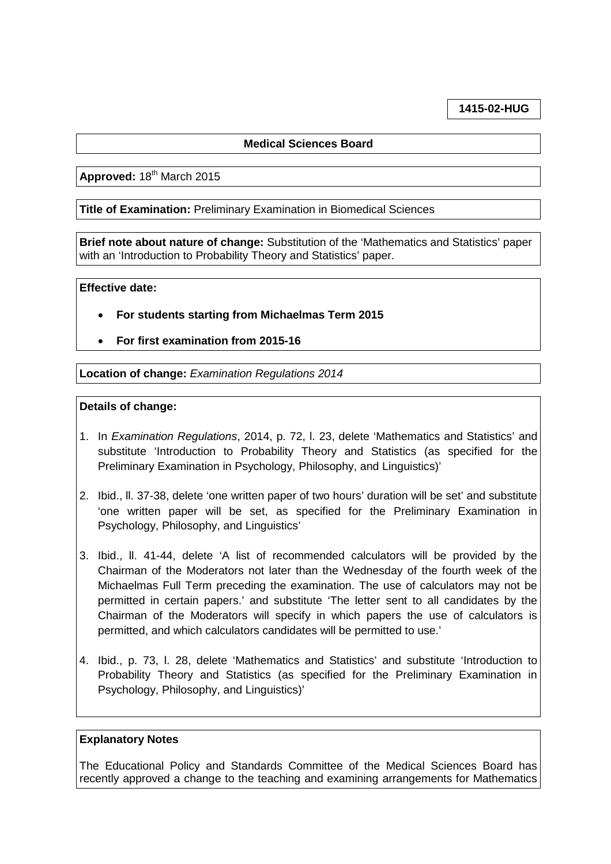# **1415-02-HUG**

## **Medical Sciences Board**

Approved: 18<sup>th</sup> March 2015

**Title of Examination:** Preliminary Examination in Biomedical Sciences

**Brief note about nature of change:** Substitution of the 'Mathematics and Statistics' paper with an 'Introduction to Probability Theory and Statistics' paper.

#### **Effective date:**

- **For students starting from Michaelmas Term 2015**
- **For first examination from 2015-16**

**Location of change:** *Examination Regulations 2014*

### **Details of change:**

- 1. In *Examination Regulations*, 2014, p. 72, l. 23, delete 'Mathematics and Statistics' and substitute 'Introduction to Probability Theory and Statistics (as specified for the Preliminary Examination in Psychology, Philosophy, and Linguistics)'
- 2. Ibid., ll. 37-38, delete 'one written paper of two hours' duration will be set' and substitute 'one written paper will be set, as specified for the Preliminary Examination in Psychology, Philosophy, and Linguistics'
- 3. Ibid., ll. 41-44, delete 'A list of recommended calculators will be provided by the Chairman of the Moderators not later than the Wednesday of the fourth week of the Michaelmas Full Term preceding the examination. The use of calculators may not be permitted in certain papers.' and substitute 'The letter sent to all candidates by the Chairman of the Moderators will specify in which papers the use of calculators is permitted, and which calculators candidates will be permitted to use.'
- 4. Ibid., p. 73, l. 28, delete 'Mathematics and Statistics' and substitute 'Introduction to Probability Theory and Statistics (as specified for the Preliminary Examination in Psychology, Philosophy, and Linguistics)'

#### **Explanatory Notes**

The Educational Policy and Standards Committee of the Medical Sciences Board has recently approved a change to the teaching and examining arrangements for Mathematics